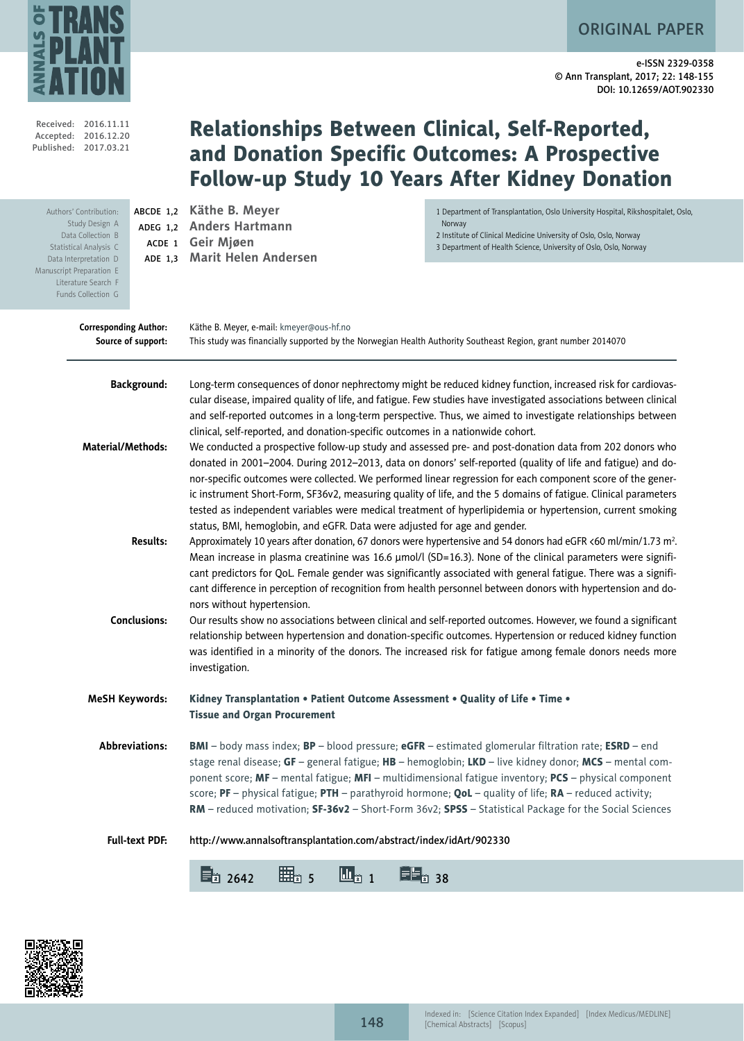ORIGINAL PAPER



e-ISSN 2329-0358 © Ann Transplant, 2017; 22: 148-155 DOI: 10.12659/AOT.902330

|                          | Received: 2016.11.11<br>Accepted: 2016.12.20<br>Published: 2017.03.21                                                                                         |                                                              | Relationships Between Clinical, Self-Reported,                                                                                                                                                               | and Donation Specific Outcomes: A Prospective<br><b>Follow-up Study 10 Years After Kidney Donation</b>                                                                                                                                                                                                                                                                                                                                                                                                                                                                                                                                                                                                                                                                                                                                                                                                                                                                                                                                                                                                                                                                                                                                                                                                                                                                                                                                                                                                                                                                                                                                                                                                                                          |
|--------------------------|---------------------------------------------------------------------------------------------------------------------------------------------------------------|--------------------------------------------------------------|--------------------------------------------------------------------------------------------------------------------------------------------------------------------------------------------------------------|-------------------------------------------------------------------------------------------------------------------------------------------------------------------------------------------------------------------------------------------------------------------------------------------------------------------------------------------------------------------------------------------------------------------------------------------------------------------------------------------------------------------------------------------------------------------------------------------------------------------------------------------------------------------------------------------------------------------------------------------------------------------------------------------------------------------------------------------------------------------------------------------------------------------------------------------------------------------------------------------------------------------------------------------------------------------------------------------------------------------------------------------------------------------------------------------------------------------------------------------------------------------------------------------------------------------------------------------------------------------------------------------------------------------------------------------------------------------------------------------------------------------------------------------------------------------------------------------------------------------------------------------------------------------------------------------------------------------------------------------------|
| Manuscript Preparation E | Authors' Contribution:<br>Study Design A<br>Data Collection B<br>Statistical Analysis C<br>Data Interpretation D<br>Literature Search F<br>Funds Collection G | ABCDE 1,2                                                    | Käthe B. Meyer<br>ADEG 1,2 Anders Hartmann<br>ACDE 1 Geir Mjøen<br>ADE 1,3 Marit Helen Andersen                                                                                                              | 1 Department of Transplantation, Oslo University Hospital, Rikshospitalet, Oslo,<br>Norway<br>2 Institute of Clinical Medicine University of Oslo, Oslo, Norway<br>3 Department of Health Science, University of Oslo, Oslo, Norway                                                                                                                                                                                                                                                                                                                                                                                                                                                                                                                                                                                                                                                                                                                                                                                                                                                                                                                                                                                                                                                                                                                                                                                                                                                                                                                                                                                                                                                                                                             |
|                          | <b>Corresponding Author:</b>                                                                                                                                  | Source of support:                                           | Käthe B. Meyer, e-mail: kmeyer@ous-hf.no<br>This study was financially supported by the Norwegian Health Authority Southeast Region, grant number 2014070                                                    |                                                                                                                                                                                                                                                                                                                                                                                                                                                                                                                                                                                                                                                                                                                                                                                                                                                                                                                                                                                                                                                                                                                                                                                                                                                                                                                                                                                                                                                                                                                                                                                                                                                                                                                                                 |
|                          | <b>Material/Methods:</b>                                                                                                                                      | <b>Background:</b><br><b>Results:</b><br><b>Conclusions:</b> | clinical, self-reported, and donation-specific outcomes in a nationwide cohort.<br>status, BMI, hemoglobin, and eGFR. Data were adjusted for age and gender.<br>nors without hypertension.<br>investigation. | Long-term consequences of donor nephrectomy might be reduced kidney function, increased risk for cardiovas-<br>cular disease, impaired quality of life, and fatigue. Few studies have investigated associations between clinical<br>and self-reported outcomes in a long-term perspective. Thus, we aimed to investigate relationships between<br>We conducted a prospective follow-up study and assessed pre- and post-donation data from 202 donors who<br>donated in 2001-2004. During 2012-2013, data on donors' self-reported (quality of life and fatigue) and do-<br>nor-specific outcomes were collected. We performed linear regression for each component score of the gener-<br>ic instrument Short-Form, SF36v2, measuring quality of life, and the 5 domains of fatigue. Clinical parameters<br>tested as independent variables were medical treatment of hyperlipidemia or hypertension, current smoking<br>Approximately 10 years after donation, 67 donors were hypertensive and 54 donors had eGFR <60 ml/min/1.73 m <sup>2</sup> .<br>Mean increase in plasma creatinine was 16.6 µmol/l (SD=16.3). None of the clinical parameters were signifi-<br>cant predictors for QoL. Female gender was significantly associated with general fatigue. There was a signifi-<br>cant difference in perception of recognition from health personnel between donors with hypertension and do-<br>Our results show no associations between clinical and self-reported outcomes. However, we found a significant<br>relationship between hypertension and donation-specific outcomes. Hypertension or reduced kidney function<br>was identified in a minority of the donors. The increased risk for fatigue among female donors needs more |
|                          | <b>MeSH Keywords:</b>                                                                                                                                         |                                                              | Kidney Transplantation • Patient Outcome Assessment • Quality of Life • Time •<br><b>Tissue and Organ Procurement</b>                                                                                        |                                                                                                                                                                                                                                                                                                                                                                                                                                                                                                                                                                                                                                                                                                                                                                                                                                                                                                                                                                                                                                                                                                                                                                                                                                                                                                                                                                                                                                                                                                                                                                                                                                                                                                                                                 |
|                          |                                                                                                                                                               | Abbreviations:                                               | score; PF - physical fatigue; PTH - parathyroid hormone; QoL - quality of life; $RA$ - reduced activity;                                                                                                     | <b>BMI</b> - body mass index; <b>BP</b> - blood pressure; <b>eGFR</b> - estimated glomerular filtration rate; <b>ESRD</b> - end<br>stage renal disease; $GF$ – general fatigue; $HB$ – hemoglobin; $LKD$ – live kidney donor; $MCS$ – mental com-<br>ponent score; MF - mental fatigue; MFI - multidimensional fatigue inventory; PCS - physical component<br>RM - reduced motivation; SF-36v2 - Short-Form 36v2; SPSS - Statistical Package for the Social Sciences                                                                                                                                                                                                                                                                                                                                                                                                                                                                                                                                                                                                                                                                                                                                                                                                                                                                                                                                                                                                                                                                                                                                                                                                                                                                            |
|                          |                                                                                                                                                               | <b>Full-text PDF:</b>                                        | http://www.annalsoftransplantation.com/abstract/index/idArt/902330                                                                                                                                           |                                                                                                                                                                                                                                                                                                                                                                                                                                                                                                                                                                                                                                                                                                                                                                                                                                                                                                                                                                                                                                                                                                                                                                                                                                                                                                                                                                                                                                                                                                                                                                                                                                                                                                                                                 |
|                          |                                                                                                                                                               |                                                              | $\Xi_2$ 2642<br>$\mathbf{u}_{\scriptscriptstyle\mathrm{2-1}}$                                                                                                                                                | EE <sub>2</sub> 38                                                                                                                                                                                                                                                                                                                                                                                                                                                                                                                                                                                                                                                                                                                                                                                                                                                                                                                                                                                                                                                                                                                                                                                                                                                                                                                                                                                                                                                                                                                                                                                                                                                                                                                              |

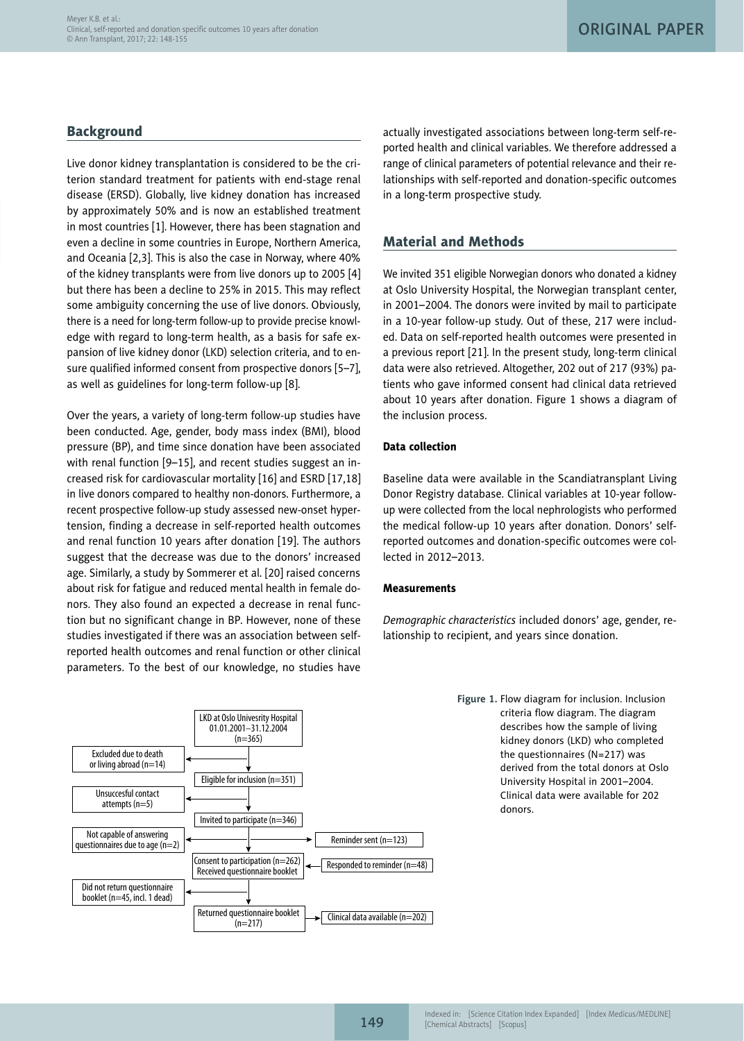## **Background**

Live donor kidney transplantation is considered to be the criterion standard treatment for patients with end-stage renal disease (ERSD). Globally, live kidney donation has increased by approximately 50% and is now an established treatment in most countries [1]. However, there has been stagnation and even a decline in some countries in Europe, Northern America, and Oceania [2,3]. This is also the case in Norway, where 40% of the kidney transplants were from live donors up to 2005 [4] but there has been a decline to 25% in 2015. This may reflect some ambiguity concerning the use of live donors. Obviously, there is a need for long-term follow-up to provide precise knowledge with regard to long-term health, as a basis for safe expansion of live kidney donor (LKD) selection criteria, and to ensure qualified informed consent from prospective donors [5–7], as well as guidelines for long-term follow-up [8].

Over the years, a variety of long-term follow-up studies have been conducted. Age, gender, body mass index (BMI), blood pressure (BP), and time since donation have been associated with renal function [9–15], and recent studies suggest an increased risk for cardiovascular mortality [16] and ESRD [17,18] in live donors compared to healthy non-donors. Furthermore, a recent prospective follow-up study assessed new-onset hypertension, finding a decrease in self-reported health outcomes and renal function 10 years after donation [19]. The authors suggest that the decrease was due to the donors' increased age. Similarly, a study by Sommerer et al. [20] raised concerns about risk for fatigue and reduced mental health in female donors. They also found an expected a decrease in renal function but no significant change in BP. However, none of these studies investigated if there was an association between selfreported health outcomes and renal function or other clinical parameters. To the best of our knowledge, no studies have



actually investigated associations between long-term self-reported health and clinical variables. We therefore addressed a range of clinical parameters of potential relevance and their relationships with self-reported and donation-specific outcomes in a long-term prospective study.

# Material and Methods

We invited 351 eligible Norwegian donors who donated a kidney at Oslo University Hospital, the Norwegian transplant center, in 2001–2004. The donors were invited by mail to participate in a 10-year follow-up study. Out of these, 217 were included. Data on self-reported health outcomes were presented in a previous report [21]. In the present study, long-term clinical data were also retrieved. Altogether, 202 out of 217 (93%) patients who gave informed consent had clinical data retrieved about 10 years after donation. Figure 1 shows a diagram of the inclusion process.

## Data collection

Baseline data were available in the Scandiatransplant Living Donor Registry database. Clinical variables at 10-year followup were collected from the local nephrologists who performed the medical follow-up 10 years after donation. Donors' selfreported outcomes and donation-specific outcomes were collected in 2012–2013.

### **Measurements**

*Demographic characteristics* included donors' age, gender, relationship to recipient, and years since donation.

> **Figure 1.** Flow diagram for inclusion. Inclusion criteria flow diagram. The diagram describes how the sample of living kidney donors (LKD) who completed the questionnaires (N=217) was derived from the total donors at Oslo University Hospital in 2001–2004. Clinical data were available for 202 donors.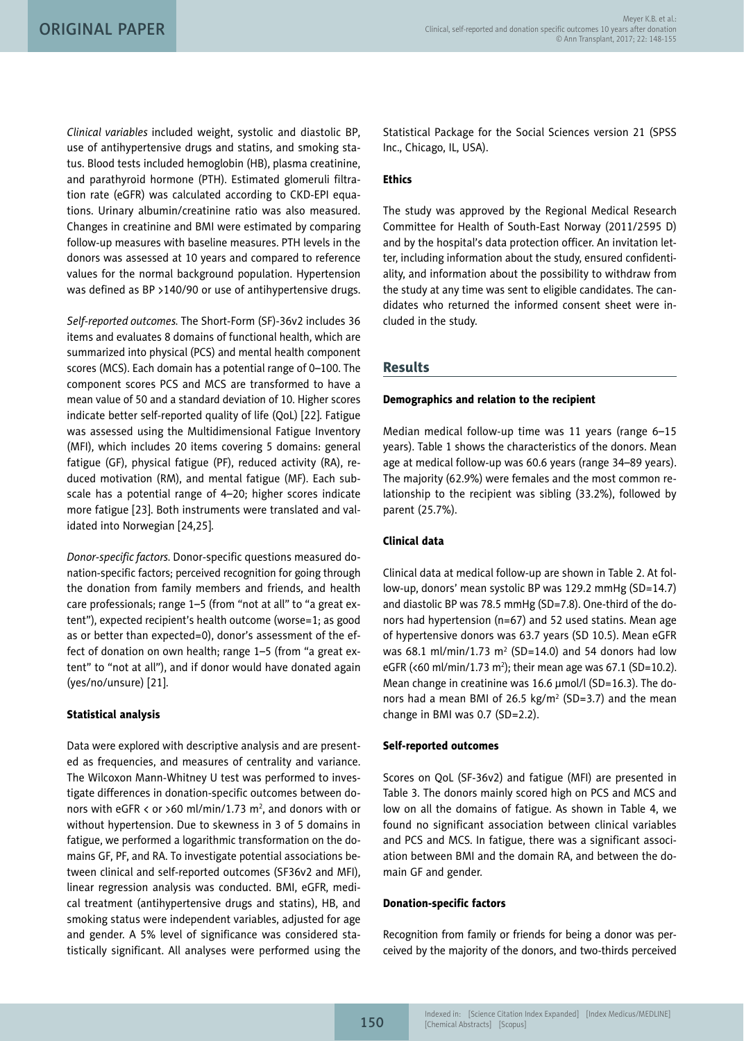*Clinical variables* included weight, systolic and diastolic BP, use of antihypertensive drugs and statins, and smoking status. Blood tests included hemoglobin (HB), plasma creatinine, and parathyroid hormone (PTH). Estimated glomeruli filtration rate (eGFR) was calculated according to CKD-EPI equations. Urinary albumin/creatinine ratio was also measured. Changes in creatinine and BMI were estimated by comparing follow-up measures with baseline measures. PTH levels in the donors was assessed at 10 years and compared to reference values for the normal background population. Hypertension was defined as BP >140/90 or use of antihypertensive drugs.

*Self-reported outcomes.* The Short-Form (SF)-36v2 includes 36 items and evaluates 8 domains of functional health, which are summarized into physical (PCS) and mental health component scores (MCS). Each domain has a potential range of 0–100. The component scores PCS and MCS are transformed to have a mean value of 50 and a standard deviation of 10. Higher scores indicate better self-reported quality of life (QoL) [22]. Fatigue was assessed using the Multidimensional Fatigue Inventory (MFI), which includes 20 items covering 5 domains: general fatigue (GF), physical fatigue (PF), reduced activity (RA), reduced motivation (RM), and mental fatigue (MF). Each subscale has a potential range of 4–20; higher scores indicate more fatigue [23]. Both instruments were translated and validated into Norwegian [24,25].

*Donor-specific factors.* Donor-specific questions measured donation-specific factors; perceived recognition for going through the donation from family members and friends, and health care professionals; range 1–5 (from "not at all" to "a great extent"), expected recipient's health outcome (worse=1; as good as or better than expected=0), donor's assessment of the effect of donation on own health; range 1–5 (from "a great extent" to "not at all"), and if donor would have donated again (yes/no/unsure) [21].

## Statistical analysis

Data were explored with descriptive analysis and are presented as frequencies, and measures of centrality and variance. The Wilcoxon Mann-Whitney U test was performed to investigate differences in donation-specific outcomes between donors with <code>eGFR</code> < or >60 ml/min/1.73 m<sup>2</sup>, and donors with or without hypertension. Due to skewness in 3 of 5 domains in fatigue, we performed a logarithmic transformation on the domains GF, PF, and RA. To investigate potential associations between clinical and self-reported outcomes (SF36v2 and MFI), linear regression analysis was conducted. BMI, eGFR, medical treatment (antihypertensive drugs and statins), HB, and smoking status were independent variables, adjusted for age and gender. A 5% level of significance was considered statistically significant. All analyses were performed using the

Statistical Package for the Social Sciences version 21 (SPSS Inc., Chicago, IL, USA).

## **Ethics**

The study was approved by the Regional Medical Research Committee for Health of South-East Norway (2011/2595 D) and by the hospital's data protection officer. An invitation letter, including information about the study, ensured confidentiality, and information about the possibility to withdraw from the study at any time was sent to eligible candidates. The candidates who returned the informed consent sheet were included in the study.

## Results

### Demographics and relation to the recipient

Median medical follow-up time was 11 years (range 6–15 years). Table 1 shows the characteristics of the donors. Mean age at medical follow-up was 60.6 years (range 34–89 years). The majority (62.9%) were females and the most common relationship to the recipient was sibling (33.2%), followed by parent (25.7%).

## Clinical data

Clinical data at medical follow-up are shown in Table 2. At follow-up, donors' mean systolic BP was 129.2 mmHg (SD=14.7) and diastolic BP was 78.5 mmHg (SD=7.8). One-third of the donors had hypertension (n=67) and 52 used statins. Mean age of hypertensive donors was 63.7 years (SD 10.5). Mean eGFR was 68.1 ml/min/1.73  $m^2$  (SD=14.0) and 54 donors had low eGFR (<60 ml/min/1.73 m<sup>2</sup>); their mean age was 67.1 (SD=10.2). Mean change in creatinine was 16.6 µmol/l (SD=16.3). The donors had a mean BMI of 26.5 kg/m<sup>2</sup> (SD=3.7) and the mean change in BMI was 0.7 (SD=2.2).

### Self-reported outcomes

Scores on QoL (SF-36v2) and fatigue (MFI) are presented in Table 3. The donors mainly scored high on PCS and MCS and low on all the domains of fatigue. As shown in Table 4, we found no significant association between clinical variables and PCS and MCS. In fatigue, there was a significant association between BMI and the domain RA, and between the domain GF and gender.

### Donation-specific factors

Recognition from family or friends for being a donor was perceived by the majority of the donors, and two-thirds perceived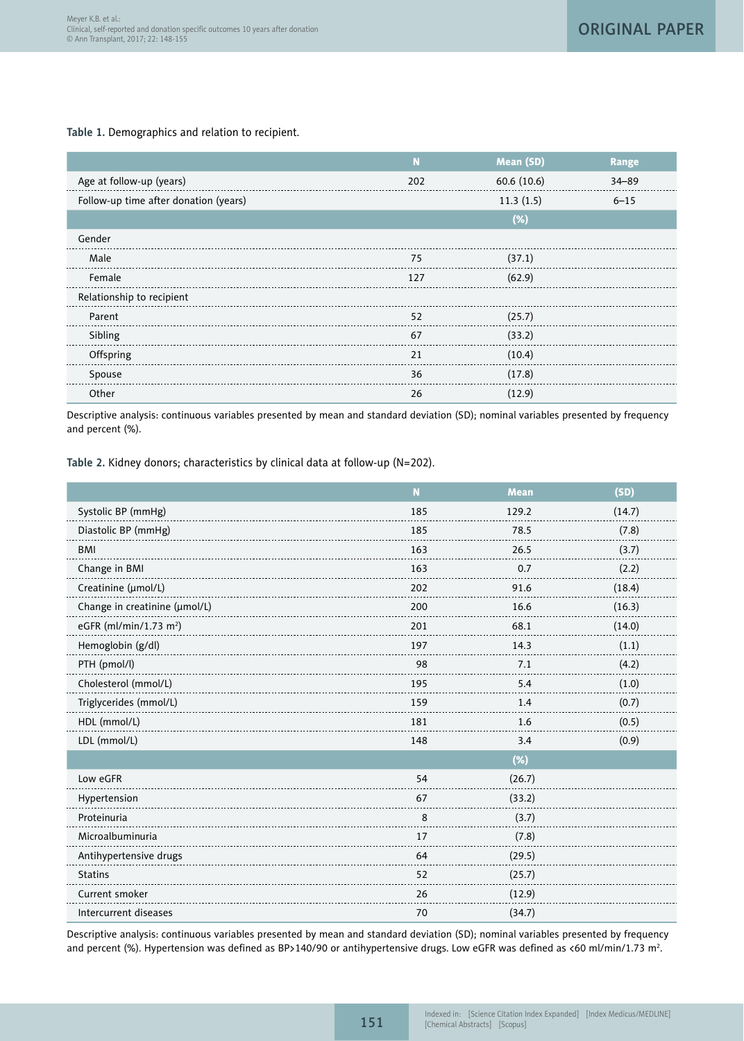**Table 1.** Demographics and relation to recipient.

|                                       |     | Mean (SD)   | Range     |
|---------------------------------------|-----|-------------|-----------|
| Age at follow-up (years)              | 202 | 60.6 (10.6) | $34 - 89$ |
| Follow-up time after donation (years) |     | 11.3(1.5)   | $6 - 15$  |
|                                       |     | (%)         |           |
| Gender                                |     |             |           |
| Male                                  | 75  | (37.1)      |           |
| Female                                | 127 | (62.9)      |           |
| Relationship to recipient             |     |             |           |
| Parent                                | 52  | (25.7)      |           |
| Sibling                               | 67  | (33.2)      |           |
| Offspring                             | 21  | (10.4)      |           |
| Spouse                                | 36  | (17.8)      |           |
| Other                                 | 26  | (12.9)      |           |

Descriptive analysis: continuous variables presented by mean and standard deviation (SD); nominal variables presented by frequency and percent (%).

**Table 2.** Kidney donors; characteristics by clinical data at follow-up (N=202).

|                                    | N   | <b>Mean</b> | (SD)   |
|------------------------------------|-----|-------------|--------|
| Systolic BP (mmHg)                 | 185 | 129.2       | (14.7) |
| Diastolic BP (mmHg)                | 185 | 78.5        | (7.8)  |
| <b>BMI</b>                         | 163 | 26.5        | (3.7)  |
| Change in BMI                      | 163 | 0.7         | (2.2)  |
| Creatinine (umol/L)                | 202 | 91.6        | (18.4) |
| Change in creatinine (umol/L)      | 200 | 16.6        | (16.3) |
| eGFR (ml/min/1.73 m <sup>2</sup> ) | 201 | 68.1        | (14.0) |
| Hemoglobin (g/dl)                  | 197 | 14.3        | (1.1)  |
| PTH (pmol/l)                       | 98  | 7.1         | (4.2)  |
| Cholesterol (mmol/L)               | 195 | 5.4         | (1.0)  |
| Triglycerides (mmol/L)             | 159 | 1.4         | (0.7)  |
| HDL (mmol/L)                       | 181 | 1.6         | (0.5)  |
| LDL (mmol/L)                       | 148 | 3.4         | (0.9)  |
|                                    |     | $(\%)$      |        |
| Low eGFR                           | 54  | (26.7)      |        |
| Hypertension                       | 67  | (33.2)      |        |
| Proteinuria                        | 8   | (3.7)       |        |
| Microalbuminuria                   | 17  | (7.8)       |        |
| Antihypertensive drugs             | 64  | (29.5)      |        |
| <b>Statins</b>                     | 52  | (25.7)      |        |
| Current smoker                     | 26  | (12.9)      |        |
| Intercurrent diseases              | 70  | (34.7)      |        |

Descriptive analysis: continuous variables presented by mean and standard deviation (SD); nominal variables presented by frequency and percent (%). Hypertension was defined as BP>140/90 or antihypertensive drugs. Low eGFR was defined as <60 ml/min/1.73 m².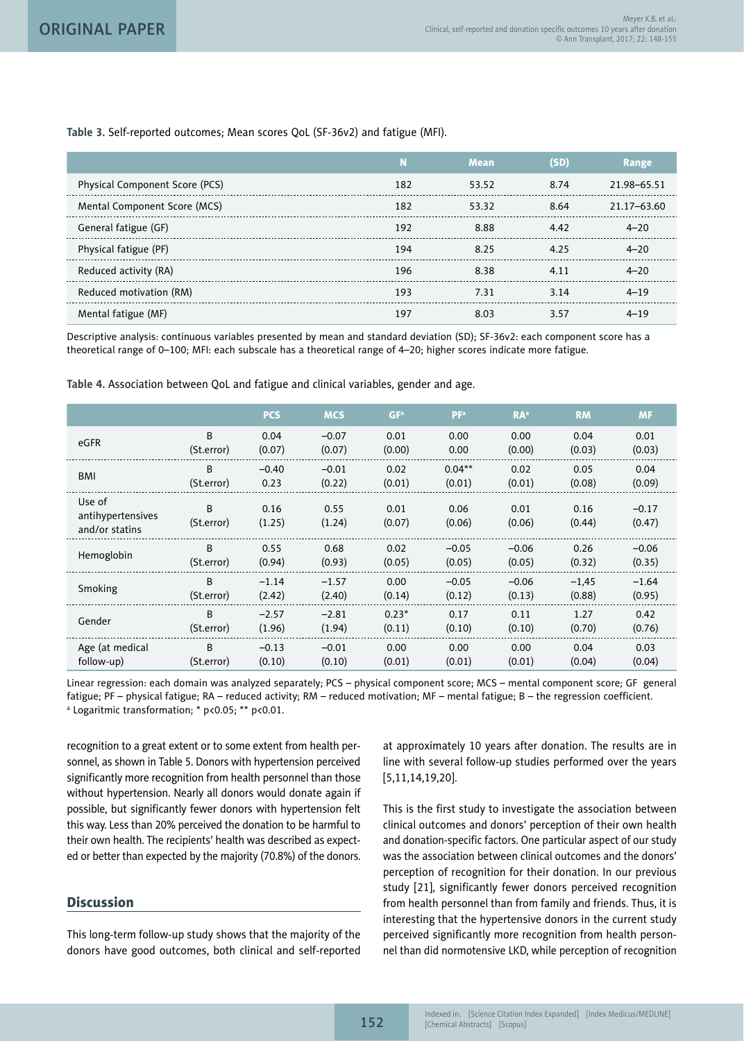**Table 3.** Self-reported outcomes; Mean scores QoL (SF-36v2) and fatigue (MFI).

|                                |     | Mean  | (SD) | Range       |
|--------------------------------|-----|-------|------|-------------|
| Physical Component Score (PCS) | 182 | 53.52 | 8.74 | 21.98-65.51 |
| Mental Component Score (MCS)   | 182 | 53.32 | 8.64 | 21.17-63.60 |
| General fatigue (GF)           | 192 | 8.88  | 4.42 | $4 - 20$    |
| Physical fatigue (PF)          | 194 | 8.25  | 4.25 | $4 - 20$    |
| Reduced activity (RA)          | 196 | 838   | 411  | $4 - 20$    |
| Reduced motivation (RM)        | 193 | 7.31  | 3.14 | $4 - 19$    |
| Mental fatigue (MF)            | 197 | 8 U S | 357  | $4 - 19$    |

Descriptive analysis: continuous variables presented by mean and standard deviation (SD); SF-36v2: each component score has a theoretical range of 0–100; MFI: each subscale has a theoretical range of 4–20; higher scores indicate more fatigue.

PCS MCS GFª PFª RAª RM MF eGFR <sup>B</sup> 0.04 –0.07 0.01 0.00 0.00 0.04 0.01 (St.error) (0.07) (0.07) (0.00) 0.00 (0.00) (0.03) (0.03)  $-0.40$ –0.01 0.02  $0.04***$ 0.02 0.05 0.04 B<br>BMI B (0.01) (0.09) 0.23 (St.error) (0.22) (0.01) (0.01) (0.08) . . . . . . . . . . . . . Use of B 0.16 0.55 0.01 0.06 0.01 0.16  $-0.17$ antihypertensives (St.error) (1.25)  $(1.24)$ (0.07) (0.06) (0.06)  $(0.44)$ (0.47) and/or statins Hemoglobin  $B$ 0.55 0.68 0.02  $-0.05$ –0.06 0.26 –0.06 (St.error) (0.94) (0.05) (0.05) (0.35) (0.93) (0.05) (0.32) Smoking <sup>B</sup> –1.14 –1.57  $0.00$  $-0.05$ –0.06  $-1,45$ –1.64 (2.42) (0.14) (0.12) (0.95) (St.error) (2.40) (0.13) (0.88) Gender <sup>B</sup> –2.57 –2.81 0.23\* 0.42 0.17 0.11 1.27 (St.error) (1.96) (1.94) (0.11) (0.10) (0.10) (0.70) (0.76) B 0.00 0.03 Age (at medical  $-0.13$ –0.01  $0.00$ 0.00 0.04 follow-up) (St.error) (0.10) (0.10) (0.01) (0.01) (0.01) (0.04) (0.04)

**Table 4.** Association between QoL and fatigue and clinical variables, gender and age.

Linear regression: each domain was analyzed separately; PCS – physical component score; MCS – mental component score; GF general fatigue; PF – physical fatigue; RA – reduced activity; RM – reduced motivation; MF – mental fatigue; B – the regression coefficient. a Logaritmic transformation; \* p<0.05; \*\* p<0.01.

recognition to a great extent or to some extent from health personnel, as shown in Table 5. Donors with hypertension perceived significantly more recognition from health personnel than those without hypertension. Nearly all donors would donate again if possible, but significantly fewer donors with hypertension felt this way. Less than 20% perceived the donation to be harmful to their own health. The recipients' health was described as expected or better than expected by the majority (70.8%) of the donors.

# **Discussion**

This long-term follow-up study shows that the majority of the donors have good outcomes, both clinical and self-reported at approximately 10 years after donation. The results are in line with several follow-up studies performed over the years [5,11,14,19,20].

This is the first study to investigate the association between clinical outcomes and donors' perception of their own health and donation-specific factors. One particular aspect of our study was the association between clinical outcomes and the donors' perception of recognition for their donation. In our previous study [21], significantly fewer donors perceived recognition from health personnel than from family and friends. Thus, it is interesting that the hypertensive donors in the current study perceived significantly more recognition from health personnel than did normotensive LKD, while perception of recognition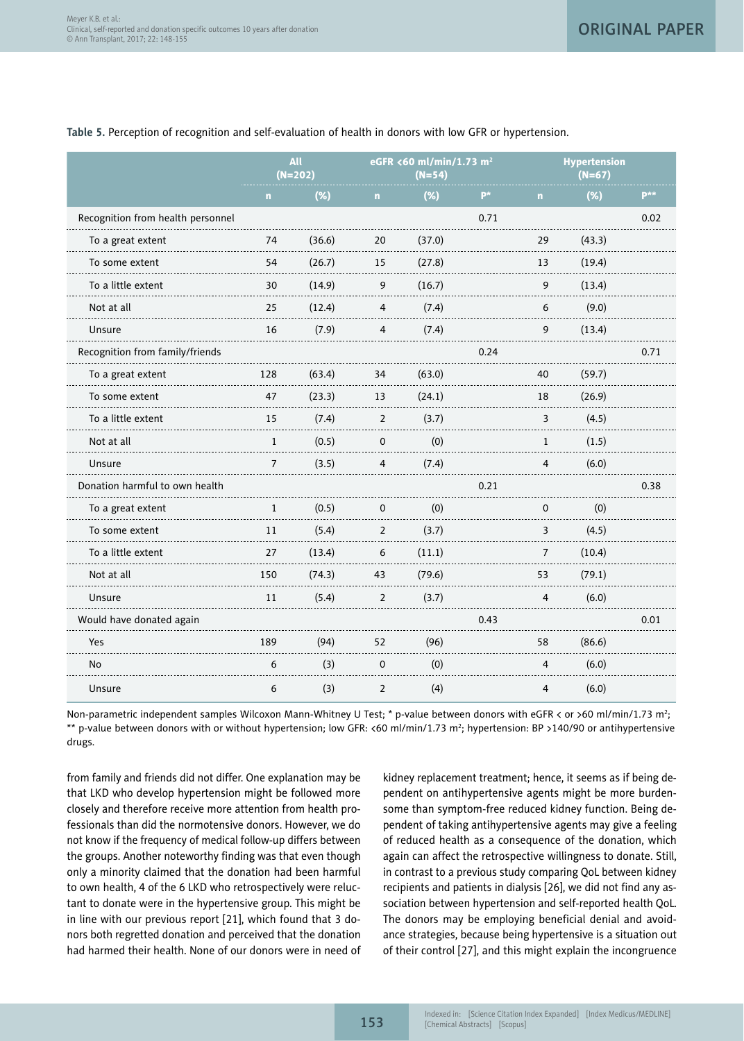|                                                         | All<br>$(N=202)$ |        | eGFR <60 ml/min/1.73 m <sup>2</sup><br>$(N=54)$ |        | <b>Hypertension</b><br>$(N=67)$ |          |        |      |
|---------------------------------------------------------|------------------|--------|-------------------------------------------------|--------|---------------------------------|----------|--------|------|
|                                                         | n                | (%)    | n                                               | (%)    | $P^*$                           | n        | (%)    | p**  |
| Recognition from health personnel                       |                  |        |                                                 |        | 0.71                            |          |        | 0.02 |
| To a great extent                                       | 74               | (36.6) | 20                                              | (37.0) |                                 | 29       | (43.3) |      |
| To some extent                                          | 54               | (26.7) | 15                                              | (27.8) |                                 | 13       | (19.4) |      |
| To a little extent                                      | 30               | (14.9) | 9                                               | (16.7) |                                 | 9        | (13.4) |      |
| Not at all                                              | 25               | (12.4) | $\overline{4}$                                  | (7.4)  |                                 | 6        | (9.0)  |      |
| Unsure                                                  | 16               | (7.9)  | 4                                               | (7.4)  |                                 | 9        | (13.4) |      |
| Recognition from family/friends                         |                  |        |                                                 |        | 0.24                            |          |        | 0.71 |
| To a great extent<br>$\sim$ $\sim$ $\sim$ $\sim$ $\sim$ | 128              | (63.4) | 34                                              | (63.0) |                                 | 40       | (59.7) |      |
| To some extent                                          | 47               | (23.3) | 13                                              | (24.1) |                                 | 18       | (26.9) |      |
| To a little extent                                      | 15               | (7.4)  | $\overline{2}$                                  | (3.7)  |                                 | 3        | (4.5)  |      |
| Not at all                                              | 1                | (0.5)  | $\mathsf 0$                                     | (0)    |                                 | 1        | (1.5)  |      |
| Unsure                                                  | 7                | (3.5)  | 4                                               | (7.4)  |                                 | 4        | (6.0)  |      |
| Donation harmful to own health                          |                  |        |                                                 |        | 0.21                            |          |        | 0.38 |
| To a great extent                                       | $\mathbf{1}$     | (0.5)  | 0                                               | (0)    |                                 | $\Omega$ | (0)    |      |
| To some extent                                          | 11               | (5.4)  | $\overline{2}$                                  | (3.7)  |                                 | 3        | (4.5)  |      |
| To a little extent                                      | 27               | (13.4) | 6                                               | (11.1) |                                 | 7        | (10.4) |      |
| Not at all                                              | 150              | (74.3) | 43                                              | (79.6) |                                 | 53       | (79.1) |      |
| Unsure                                                  | 11               | (5.4)  | 2                                               | (3.7)  |                                 | 4        | (6.0)  |      |
| Would have donated again                                |                  |        |                                                 |        | 0.43                            |          |        | 0.01 |
| Yes                                                     | 189              | (94)   | 52                                              | (96)   |                                 | 58       | (86.6) |      |
| N <sub>o</sub>                                          | 6                | (3)    | $\Omega$                                        | (0)    |                                 | 4        | (6.0)  |      |
| Unsure                                                  | 6                | (3)    | 2                                               | (4)    |                                 | 4        | (6.0)  |      |

## **Table 5.** Perception of recognition and self-evaluation of health in donors with low GFR or hypertension.

Non-parametric independent samples Wilcoxon Mann-Whitney U Test; \* p-value between donors with eGFR < or >60 ml/min/1.73 m<sup>2</sup>; \*\* p-value between donors with or without hypertension; low GFR: <60 ml/min/1.73 m2 ; hypertension: BP >140/90 or antihypertensive drugs.

from family and friends did not differ. One explanation may be that LKD who develop hypertension might be followed more closely and therefore receive more attention from health professionals than did the normotensive donors. However, we do not know if the frequency of medical follow-up differs between the groups. Another noteworthy finding was that even though only a minority claimed that the donation had been harmful to own health, 4 of the 6 LKD who retrospectively were reluctant to donate were in the hypertensive group. This might be in line with our previous report [21], which found that 3 donors both regretted donation and perceived that the donation had harmed their health. None of our donors were in need of kidney replacement treatment; hence, it seems as if being dependent on antihypertensive agents might be more burdensome than symptom-free reduced kidney function. Being dependent of taking antihypertensive agents may give a feeling of reduced health as a consequence of the donation, which again can affect the retrospective willingness to donate. Still, in contrast to a previous study comparing QoL between kidney recipients and patients in dialysis [26], we did not find any association between hypertension and self-reported health QoL. The donors may be employing beneficial denial and avoidance strategies, because being hypertensive is a situation out of their control [27], and this might explain the incongruence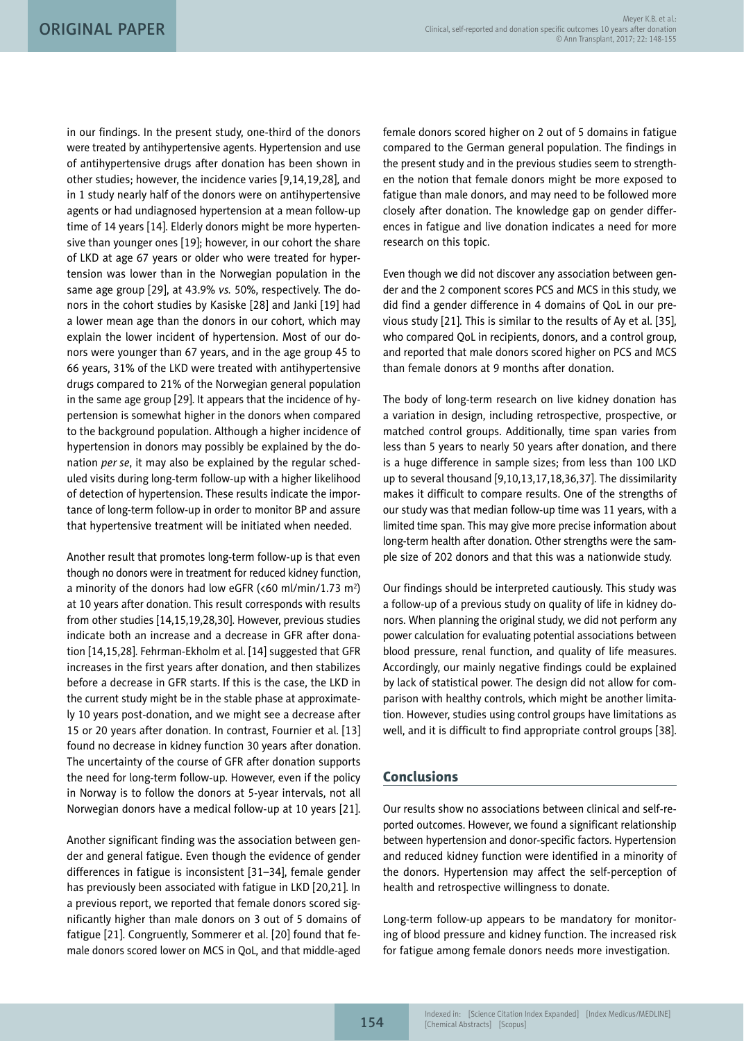in our findings. In the present study, one-third of the donors were treated by antihypertensive agents. Hypertension and use of antihypertensive drugs after donation has been shown in other studies; however, the incidence varies [9,14,19,28], and in 1 study nearly half of the donors were on antihypertensive agents or had undiagnosed hypertension at a mean follow-up time of 14 years [14]. Elderly donors might be more hypertensive than younger ones [19]; however, in our cohort the share of LKD at age 67 years or older who were treated for hypertension was lower than in the Norwegian population in the same age group [29], at 43.9% *vs.* 50%, respectively. The donors in the cohort studies by Kasiske [28] and Janki [19] had a lower mean age than the donors in our cohort, which may explain the lower incident of hypertension. Most of our donors were younger than 67 years, and in the age group 45 to 66 years, 31% of the LKD were treated with antihypertensive drugs compared to 21% of the Norwegian general population in the same age group [29]. It appears that the incidence of hypertension is somewhat higher in the donors when compared to the background population. Although a higher incidence of hypertension in donors may possibly be explained by the donation *per se*, it may also be explained by the regular scheduled visits during long-term follow-up with a higher likelihood of detection of hypertension. These results indicate the importance of long-term follow-up in order to monitor BP and assure that hypertensive treatment will be initiated when needed.

Another result that promotes long-term follow-up is that even though no donors were in treatment for reduced kidney function, a minority of the donors had low eGFR (<60 ml/min/1.73 m<sup>2</sup>) at 10 years after donation. This result corresponds with results from other studies [14,15,19,28,30]. However, previous studies indicate both an increase and a decrease in GFR after donation [14,15,28]. Fehrman-Ekholm et al. [14] suggested that GFR increases in the first years after donation, and then stabilizes before a decrease in GFR starts. If this is the case, the LKD in the current study might be in the stable phase at approximately 10 years post-donation, and we might see a decrease after 15 or 20 years after donation. In contrast, Fournier et al. [13] found no decrease in kidney function 30 years after donation. The uncertainty of the course of GFR after donation supports the need for long-term follow-up. However, even if the policy in Norway is to follow the donors at 5-year intervals, not all Norwegian donors have a medical follow-up at 10 years [21].

Another significant finding was the association between gender and general fatigue. Even though the evidence of gender differences in fatigue is inconsistent [31–34], female gender has previously been associated with fatigue in LKD [20,21]. In a previous report, we reported that female donors scored significantly higher than male donors on 3 out of 5 domains of fatigue [21]. Congruently, Sommerer et al. [20] found that female donors scored lower on MCS in QoL, and that middle-aged female donors scored higher on 2 out of 5 domains in fatigue compared to the German general population. The findings in the present study and in the previous studies seem to strengthen the notion that female donors might be more exposed to fatigue than male donors, and may need to be followed more closely after donation. The knowledge gap on gender differences in fatigue and live donation indicates a need for more research on this topic.

Even though we did not discover any association between gender and the 2 component scores PCS and MCS in this study, we did find a gender difference in 4 domains of QoL in our previous study [21]. This is similar to the results of Ay et al. [35], who compared QoL in recipients, donors, and a control group, and reported that male donors scored higher on PCS and MCS than female donors at 9 months after donation.

The body of long-term research on live kidney donation has a variation in design, including retrospective, prospective, or matched control groups. Additionally, time span varies from less than 5 years to nearly 50 years after donation, and there is a huge difference in sample sizes; from less than 100 LKD up to several thousand [9,10,13,17,18,36,37]. The dissimilarity makes it difficult to compare results. One of the strengths of our study was that median follow-up time was 11 years, with a limited time span. This may give more precise information about long-term health after donation. Other strengths were the sample size of 202 donors and that this was a nationwide study.

Our findings should be interpreted cautiously. This study was a follow-up of a previous study on quality of life in kidney donors. When planning the original study, we did not perform any power calculation for evaluating potential associations between blood pressure, renal function, and quality of life measures. Accordingly, our mainly negative findings could be explained by lack of statistical power. The design did not allow for comparison with healthy controls, which might be another limitation. However, studies using control groups have limitations as well, and it is difficult to find appropriate control groups [38].

# Conclusions

Our results show no associations between clinical and self-reported outcomes. However, we found a significant relationship between hypertension and donor-specific factors. Hypertension and reduced kidney function were identified in a minority of the donors. Hypertension may affect the self-perception of health and retrospective willingness to donate.

Long-term follow-up appears to be mandatory for monitoring of blood pressure and kidney function. The increased risk for fatigue among female donors needs more investigation.